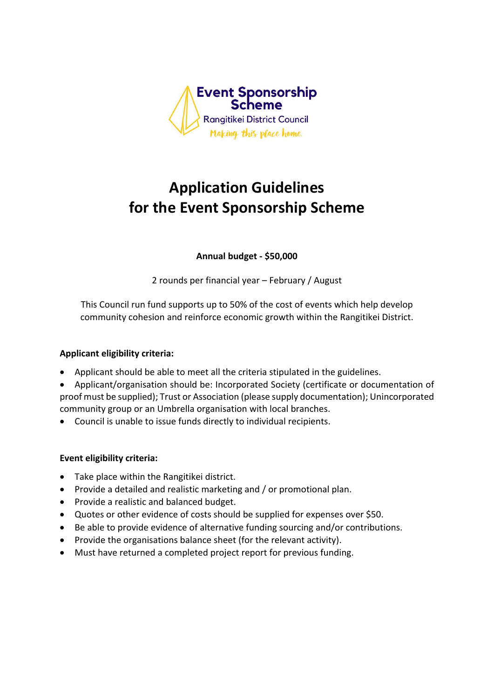

# **Application Guidelines for the Event Sponsorship Scheme**

**Annual budget - \$50,000**

2 rounds per financial year – February / August

This Council run fund supports up to 50% of the cost of events which help develop community cohesion and reinforce economic growth within the Rangitikei District.

# **Applicant eligibility criteria:**

- Applicant should be able to meet all the criteria stipulated in the guidelines.
- Applicant/organisation should be: Incorporated Society (certificate or documentation of proof must be supplied); Trust or Association (please supply documentation); Unincorporated community group or an Umbrella organisation with local branches.
- Council is unable to issue funds directly to individual recipients.

# **Event eligibility criteria:**

- Take place within the Rangitikei district.
- Provide a detailed and realistic marketing and / or promotional plan.
- Provide a realistic and balanced budget.
- Quotes or other evidence of costs should be supplied for expenses over \$50.
- Be able to provide evidence of alternative funding sourcing and/or contributions.
- Provide the organisations balance sheet (for the relevant activity).
- Must have returned a completed project report for previous funding.